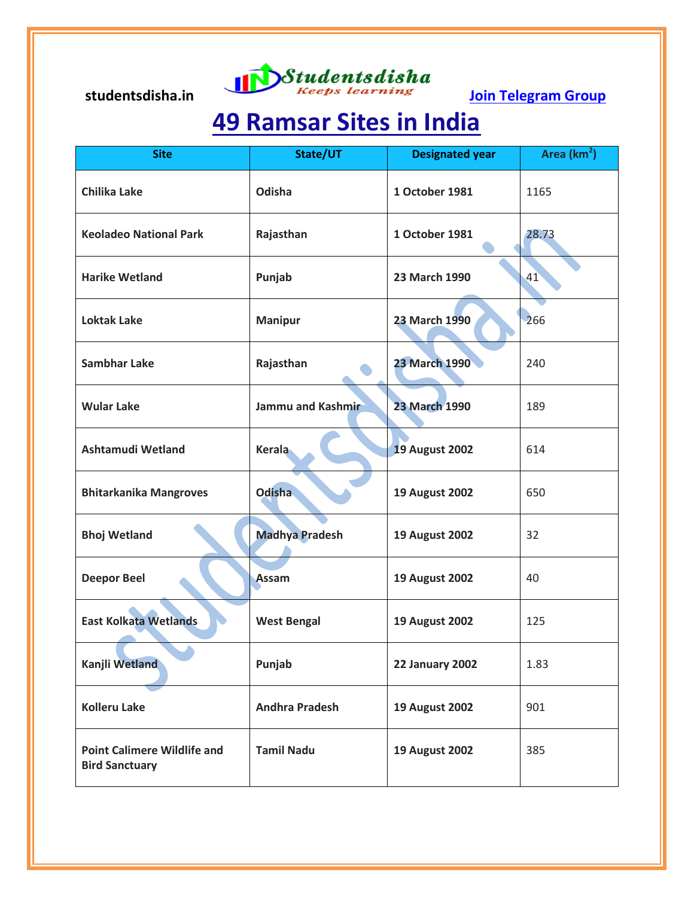# studentsdisha.in **Studentsdisha**<br>Ioin Telegram Group

## **49 Ramsar Sites in India**

| <b>Site</b>                                                 | State/UT              | <b>Designated year</b> | Area (km <sup>2</sup> ) |
|-------------------------------------------------------------|-----------------------|------------------------|-------------------------|
| <b>Chilika Lake</b>                                         | Odisha                | 1 October 1981         | 1165                    |
| <b>Keoladeo National Park</b>                               | Rajasthan             | 1 October 1981         | 28.73                   |
| <b>Harike Wetland</b>                                       | Punjab                | 23 March 1990          | 41                      |
| <b>Loktak Lake</b>                                          | <b>Manipur</b>        | 23 March 1990          | 266                     |
| <b>Sambhar Lake</b>                                         | Rajasthan             | <b>23 March 1990</b>   | 240                     |
| <b>Wular Lake</b>                                           | Jammu and Kashmir     | <b>23 March 1990</b>   | 189                     |
| <b>Ashtamudi Wetland</b>                                    | <b>Kerala</b>         | <b>19 August 2002</b>  | 614                     |
| <b>Bhitarkanika Mangroves</b>                               | <b>Odisha</b>         | <b>19 August 2002</b>  | 650                     |
| <b>Bhoj Wetland</b>                                         | <b>Madhya Pradesh</b> | <b>19 August 2002</b>  | 32                      |
| <b>Deepor Beel</b>                                          | Assam                 | <b>19 August 2002</b>  | 40                      |
| <b>East Kolkata Wetlands</b>                                | <b>West Bengal</b>    | <b>19 August 2002</b>  | 125                     |
| Kanjli Wetland                                              | Punjab                | <b>22 January 2002</b> | 1.83                    |
| <b>Kolleru Lake</b>                                         | <b>Andhra Pradesh</b> | <b>19 August 2002</b>  | 901                     |
| <b>Point Calimere Wildlife and</b><br><b>Bird Sanctuary</b> | <b>Tamil Nadu</b>     | <b>19 August 2002</b>  | 385                     |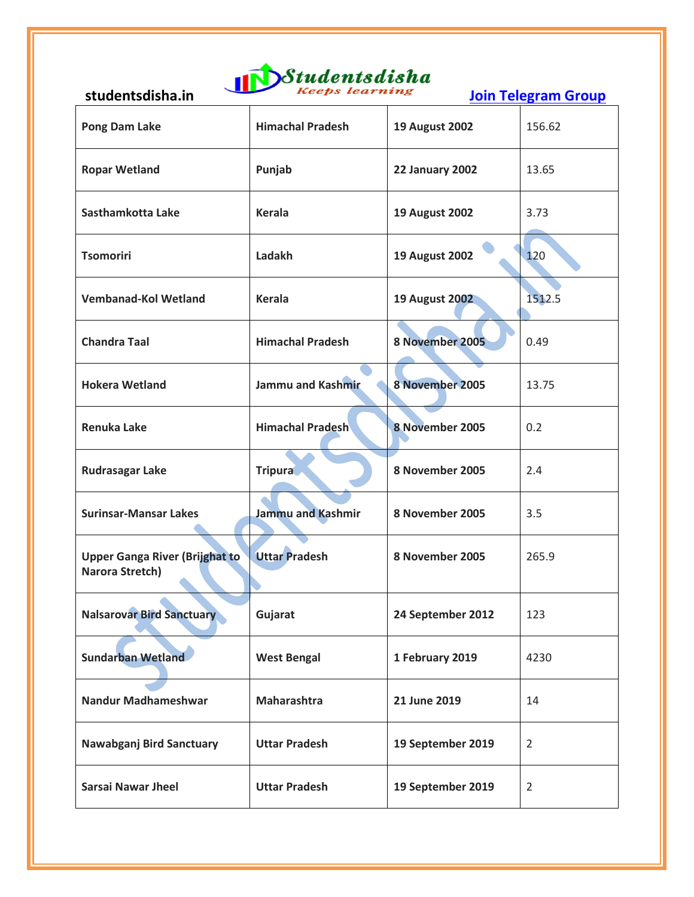

| <b>JLWWLIILJWIJIIU.III</b>                               |                          |                       | <u>Julii Tuustuin oruup</u> |
|----------------------------------------------------------|--------------------------|-----------------------|-----------------------------|
| Pong Dam Lake                                            | <b>Himachal Pradesh</b>  | <b>19 August 2002</b> | 156.62                      |
| <b>Ropar Wetland</b>                                     | Punjab                   | 22 January 2002       | 13.65                       |
| Sasthamkotta Lake                                        | <b>Kerala</b>            | <b>19 August 2002</b> | 3.73                        |
| <b>Tsomoriri</b>                                         | Ladakh                   | <b>19 August 2002</b> | 120                         |
| <b>Vembanad-Kol Wetland</b>                              | <b>Kerala</b>            | <b>19 August 2002</b> | 1512.5                      |
| <b>Chandra Taal</b>                                      | <b>Himachal Pradesh</b>  | 8 November 2005       | 0.49                        |
| <b>Hokera Wetland</b>                                    | Jammu and Kashmir        | 8 November 2005       | 13.75                       |
| <b>Renuka Lake</b>                                       | <b>Himachal Pradesh</b>  | 8 November 2005       | 0.2                         |
| <b>Rudrasagar Lake</b>                                   | <b>Tripura</b>           | 8 November 2005       | 2.4                         |
| <b>Surinsar-Mansar Lakes</b>                             | <b>Jammu and Kashmir</b> | 8 November 2005       | 3.5                         |
| <b>Upper Ganga River (Brijghat to</b><br>Narora Stretch) | <b>Uttar Pradesh</b>     | 8 November 2005       | 265.9                       |
| <b>Nalsarovar Bird Sanctuary</b>                         | Gujarat                  | 24 September 2012     | 123                         |
| <b>Sundarban Wetland</b>                                 | <b>West Bengal</b>       | 1 February 2019       | 4230                        |
| <b>Nandur Madhameshwar</b>                               | Maharashtra              | 21 June 2019          | 14                          |
| Nawabganj Bird Sanctuary                                 | <b>Uttar Pradesh</b>     | 19 September 2019     | $\overline{2}$              |
| <b>Sarsai Nawar Jheel</b>                                | <b>Uttar Pradesh</b>     | 19 September 2019     | $\overline{2}$              |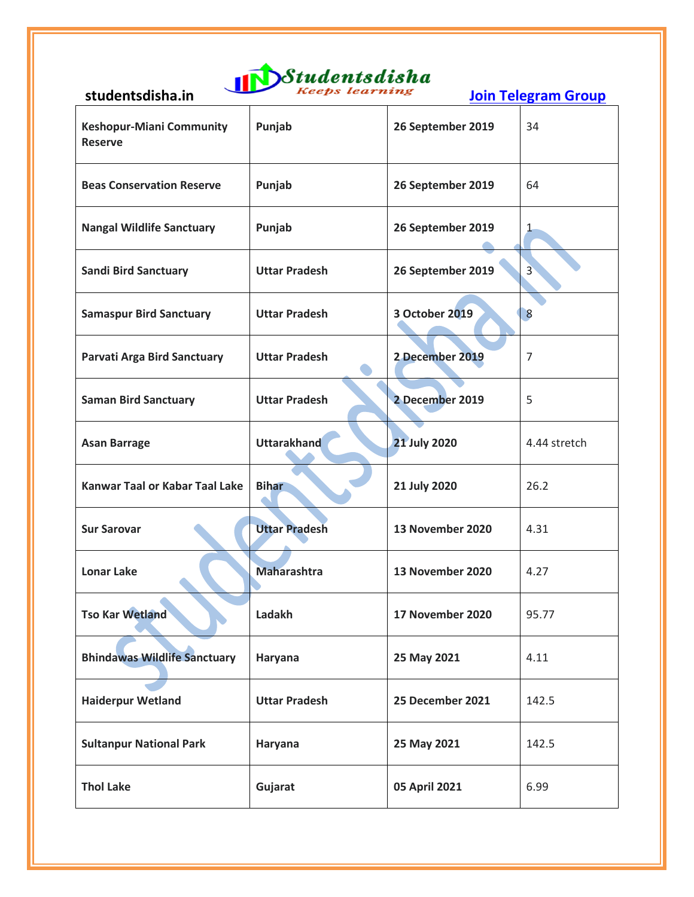

| <b>Keshopur-Miani Community</b><br><b>Reserve</b> | Punjab               | 26 September 2019   | 34             |
|---------------------------------------------------|----------------------|---------------------|----------------|
| <b>Beas Conservation Reserve</b>                  | Punjab               | 26 September 2019   | 64             |
| <b>Nangal Wildlife Sanctuary</b>                  | Punjab               | 26 September 2019   | 1              |
| <b>Sandi Bird Sanctuary</b>                       | <b>Uttar Pradesh</b> | 26 September 2019   | $\overline{3}$ |
| <b>Samaspur Bird Sanctuary</b>                    | <b>Uttar Pradesh</b> | 3 October 2019      | 8              |
| Parvati Arga Bird Sanctuary                       | <b>Uttar Pradesh</b> | 2 December 2019     | $\overline{7}$ |
| <b>Saman Bird Sanctuary</b>                       | <b>Uttar Pradesh</b> | 2 December 2019     | 5              |
| <b>Asan Barrage</b>                               | <b>Uttarakhand</b>   | <b>21 July 2020</b> | 4.44 stretch   |
| <b>Kanwar Taal or Kabar Taal Lake</b>             | <b>Bihar</b>         | 21 July 2020        | 26.2           |
| <b>Sur Sarovar</b>                                | <b>Uttar Pradesh</b> | 13 November 2020    | 4.31           |
| <b>Lonar Lake</b>                                 | <b>Maharashtra</b>   | 13 November 2020    | 4.27           |
| <b>Tso Kar Wetland</b>                            | Ladakh               | 17 November 2020    | 95.77          |
| <b>Bhindawas Wildlife Sanctuary</b>               | Haryana              | 25 May 2021         | 4.11           |
| <b>Haiderpur Wetland</b>                          | <b>Uttar Pradesh</b> | 25 December 2021    | 142.5          |
| <b>Sultanpur National Park</b>                    | Haryana              | 25 May 2021         | 142.5          |
| <b>Thol Lake</b>                                  | Gujarat              | 05 April 2021       | 6.99           |